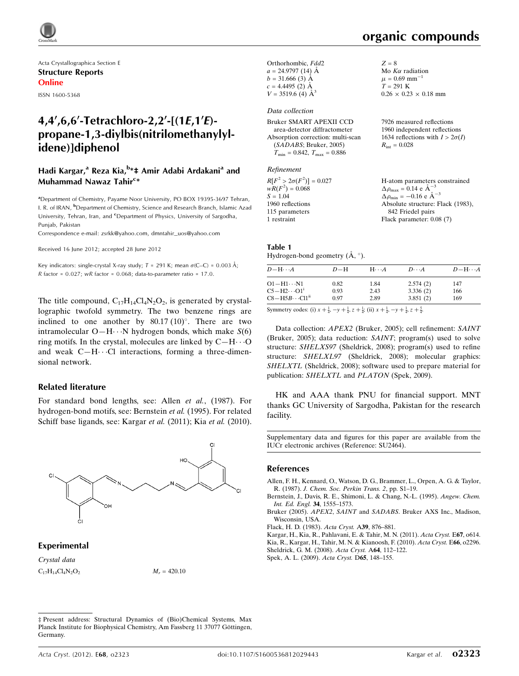

Acta Crystallographica Section E Structure Reports Online

#### ISSN 1600-5368

## 4,4',6,6'-Tetrachloro-2,2'-[(1E,1'E)propane-1,3-diylbis(nitrilomethanylylidene)]diphenol

## Hadi Kargar,<sup>a</sup> Reza Kia,<sup>b</sup>\*‡ Amir Adabi Ardakani<sup>a</sup> and Muhammad Nawaz Tahir<sup>c</sup>\*

<sup>a</sup> Department of Chemistry, Payame Noor University, PO BOX 19395-3697 Tehran, I. R. of IRAN, <sup>b</sup>Department of Chemistry, Science and Research Branch, Islamic Azad University, Tehran, Iran, and <sup>c</sup>Department of Physics, University of Sargodha, Punjab, Pakistan

Correspondence e-mail: [zsrkk@yahoo.com](http://scripts.iucr.org/cgi-bin/cr.cgi?rm=pdfbb&cnor=su2464&bbid=BB8), [dmntahir\\_uos@yahoo.com](http://scripts.iucr.org/cgi-bin/cr.cgi?rm=pdfbb&cnor=su2464&bbid=BB8)

Received 16 June 2012; accepted 28 June 2012

Key indicators: single-crystal X-ray study;  $T = 291$  K; mean  $\sigma$ (C–C) = 0.003 Å; R factor =  $0.027$ ; wR factor =  $0.068$ ; data-to-parameter ratio = 17.0.

The title compound,  $C_{17}H_{14}Cl_4N_2O_2$ , is generated by crystallographic twofold symmetry. The two benzene rings are inclined to one another by  $80.17 (10)^\circ$ . There are two intramolecular  $O-H \cdot \cdot \cdot N$  hydrogen bonds, which make  $S(6)$ ring motifs. In the crystal, molecules are linked by  $C-H\cdots O$ and weak  $C-H\cdots$ Cl interactions, forming a three-dimensional network.

#### Related literature

For standard bond lengths, see: Allen et al., (1987). For hydrogen-bond motifs, see: Bernstein et al. (1995). For related Schiff base ligands, see: Kargar et al. (2011); Kia et al. (2010).



Experimental

Crystal data  $C_{17}H_{14}Cl_4N_2O_2$   $M_r = 420.10$ 



 $Z = 8$ 

Mo  $K\alpha$  radiation  $\mu = 0.69$  mm<sup>-1</sup>  $T = 291 \text{ K}$ 

 $R_{\text{int}} = 0.028$ 

 $0.26 \times 0.23 \times 0.18$  mm

7926 measured reflections 1960 independent reflections 1634 reflections with  $I > 2\sigma(I)$ 

Orthorhombic, Fdd2  $a = 24.9797(14)$  Å  $b = 31.666(3)$  Å  $c = 4.4495$  (2)  $\AA$  $V = 3519.6$  (4)  $\AA^3$ 

#### Data collection

| Bruker SMART APEXII CCD                          |
|--------------------------------------------------|
| area-detector diffractometer                     |
| Absorption correction: multi-scan                |
| (SADABS; Bruker, 2005)                           |
| $T_{\text{min}} = 0.842, T_{\text{max}} = 0.886$ |

#### Refinement

| $R[F^2 > 2\sigma(F^2)] = 0.027$ | H-atom parameters constrained                      |
|---------------------------------|----------------------------------------------------|
| $wR(F^2) = 0.068$               | $\Delta \rho_{\text{max}} = 0.14 \text{ e A}^{-3}$ |
| $S = 1.04$                      | $\Delta \rho_{\rm min} = -0.16 \text{ e A}^{-3}$   |
| 1960 reflections                | Absolute structure: Flack (1983).                  |
| 115 parameters                  | 842 Friedel pairs                                  |
| 1 restraint                     | Flack parameter: $0.08(7)$                         |
|                                 |                                                    |

#### Table 1 Hydrogen-bond geometry  $(\AA, \degree)$ .

| $D - H \cdots A$                 | $D-H$ | $H\cdots A$ | $D\cdots A$ | $D - H \cdots A$ |
|----------------------------------|-------|-------------|-------------|------------------|
| $O1 - H1 \cdots N1$              | 0.82  | 1.84        | 2.574(2)    | 147              |
| $C5-H2\cdots O1^1$               | 0.93  | 2.43        | 3.336(2)    | 166              |
| $CS-H5B\cdots$ Cl1 <sup>ii</sup> | 0.97  | 2.89        | 3.851(2)    | 169              |

Symmetry codes: (i)  $x + \frac{1}{4}$ ,  $-y + \frac{1}{4}$ ,  $z + \frac{1}{4}$ ; (ii)  $x + \frac{1}{4}$ ,  $-y + \frac{1}{4}$ ,  $z + \frac{5}{4}$ .

Data collection: APEX2 (Bruker, 2005); cell refinement: SAINT (Bruker, 2005); data reduction: SAINT; program(s) used to solve structure: SHELXS97 (Sheldrick, 2008); program(s) used to refine structure: SHELXL97 (Sheldrick, 2008); molecular graphics: SHELXTL (Sheldrick, 2008); software used to prepare material for publication: SHELXTL and PLATON (Spek, 2009).

HK and AAA thank PNU for financial support. MNT thanks GC University of Sargodha, Pakistan for the research facility.

Supplementary data and figures for this paper are available from the IUCr electronic archives (Reference: SU2464).

#### References

[Allen, F. H., Kennard, O., Watson, D. G., Brammer, L., Orpen, A. G. & Taylor,](http://scripts.iucr.org/cgi-bin/cr.cgi?rm=pdfbb&cnor=su2464&bbid=BB1) R. (1987). [J. Chem. Soc. Perkin Trans. 2](http://scripts.iucr.org/cgi-bin/cr.cgi?rm=pdfbb&cnor=su2464&bbid=BB1), pp. S1–19.

[Bernstein, J., Davis, R. E., Shimoni, L. & Chang, N.-L. \(1995\).](http://scripts.iucr.org/cgi-bin/cr.cgi?rm=pdfbb&cnor=su2464&bbid=BB2) Angew. Chem. [Int. Ed. Engl.](http://scripts.iucr.org/cgi-bin/cr.cgi?rm=pdfbb&cnor=su2464&bbid=BB2) 34, 1555–1573.

Bruker (2005). APEX2, SAINT and SADABS[. Bruker AXS Inc., Madison,](http://scripts.iucr.org/cgi-bin/cr.cgi?rm=pdfbb&cnor=su2464&bbid=BB3) [Wisconsin, USA.](http://scripts.iucr.org/cgi-bin/cr.cgi?rm=pdfbb&cnor=su2464&bbid=BB3)

[Flack, H. D. \(1983\).](http://scripts.iucr.org/cgi-bin/cr.cgi?rm=pdfbb&cnor=su2464&bbid=BB4) Acta Cryst. A39, 876–881.

[Kargar, H., Kia, R., Pahlavani, E. & Tahir, M. N. \(2011\).](http://scripts.iucr.org/cgi-bin/cr.cgi?rm=pdfbb&cnor=su2464&bbid=BB5) Acta Cryst. E67, o614. [Kia, R., Kargar, H., Tahir, M. N. & Kianoosh, F. \(2010\).](http://scripts.iucr.org/cgi-bin/cr.cgi?rm=pdfbb&cnor=su2464&bbid=BB6) Acta Cryst. E66, o2296. [Sheldrick, G. M. \(2008\).](http://scripts.iucr.org/cgi-bin/cr.cgi?rm=pdfbb&cnor=su2464&bbid=BB7) Acta Cryst. A64, 112–122.

[Spek, A. L. \(2009\).](http://scripts.iucr.org/cgi-bin/cr.cgi?rm=pdfbb&cnor=su2464&bbid=BB8) Acta Cryst. D65, 148–155.

<sup>‡</sup> Present address: Structural Dynamics of (Bio)Chemical Systems, Max Planck Institute for Biophysical Chemistry, Am Fassberg 11 37077 Göttingen, Germany.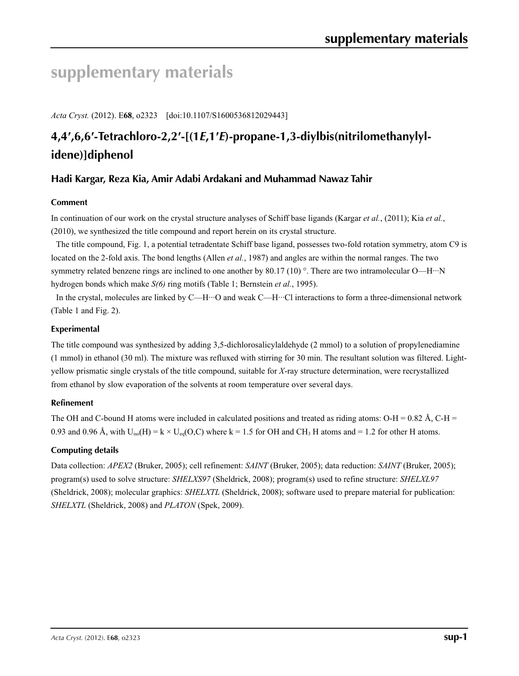# **supplementary materials**

*Acta Cryst.* (2012). E**68**, o2323 [doi:10.1107/S1600536812029443]

# **4,4′,6,6′-Tetrachloro-2,2′-[(1***E***,1′***E***)-propane-1,3-diylbis(nitrilomethanylylidene)]diphenol**

## **Hadi Kargar, Reza Kia, Amir Adabi Ardakani and Muhammad Nawaz Tahir**

### **Comment**

In continuation of our work on the crystal structure analyses of Schiff base ligands (Kargar *et al.*, (2011); Kia *et al.*, (2010), we synthesized the title compound and report herein on its crystal structure.

The title compound, Fig. 1, a potential tetradentate Schiff base ligand, possesses two-fold rotation symmetry, atom C9 is located on the 2-fold axis. The bond lengths (Allen *et al.*, 1987) and angles are within the normal ranges. The two symmetry related benzene rings are inclined to one another by 80.17 (10) °. There are two intramolecular O—H···N hydrogen bonds which make *S(6)* ring motifs (Table 1; Bernstein *et al.*, 1995).

In the crystal, molecules are linked by C—H···O and weak C—H···Cl interactions to form a three-dimensional network (Table 1 and Fig. 2).

### **Experimental**

The title compound was synthesized by adding 3,5-dichlorosalicylaldehyde (2 mmol) to a solution of propylenediamine (1 mmol) in ethanol (30 ml). The mixture was refluxed with stirring for 30 min. The resultant solution was filtered. Lightyellow prismatic single crystals of the title compound, suitable for *X*-ray structure determination, were recrystallized from ethanol by slow evaporation of the solvents at room temperature over several days.

### **Refinement**

The OH and C-bound H atoms were included in calculated positions and treated as riding atoms:  $O-H = 0.82 \text{ Å}$ , C-H = 0.93 and 0.96 Å, with  $U_{iso}(H) = k \times U_{eq}(O,C)$  where k = 1.5 for OH and CH<sub>3</sub> H atoms and = 1.2 for other H atoms.

### **Computing details**

Data collection: *APEX2* (Bruker, 2005); cell refinement: *SAINT* (Bruker, 2005); data reduction: *SAINT* (Bruker, 2005); program(s) used to solve structure: *SHELXS97* (Sheldrick, 2008); program(s) used to refine structure: *SHELXL97* (Sheldrick, 2008); molecular graphics: *SHELXTL* (Sheldrick, 2008); software used to prepare material for publication: *SHELXTL* (Sheldrick, 2008) and *PLATON* (Spek, 2009).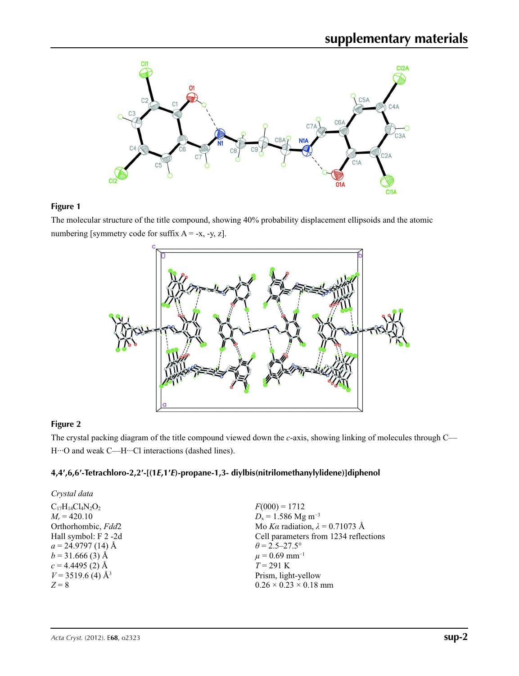

## **Figure 1**

The molecular structure of the title compound, showing 40% probability displacement ellipsoids and the atomic numbering [symmetry code for suffix  $A = -x, -y, z$ ].



## **Figure 2**

The crystal packing diagram of the title compound viewed down the *c*-axis, showing linking of molecules through C— H···O and weak C—H···Cl interactions (dashed lines).

## **4,4′,6,6′-Tetrachloro-2,2′-[(1***E***,1′***E***)-propane-1,3- diylbis(nitrilomethanylylidene)]diphenol**

| Crystal data                    |                                        |
|---------------------------------|----------------------------------------|
| $C_{17}H_{14}Cl_4N_2O_2$        | $F(000) = 1712$                        |
| $M_r = 420.10$                  | $D_x = 1.586$ Mg m <sup>-3</sup>       |
| Orthorhombic, Fdd2              | Mo Ka radiation, $\lambda = 0.71073$ Å |
| Hall symbol: F 2 -2d            | Cell parameters from 1234 reflections  |
| $a = 24.9797(14)$ Å             | $\theta$ = 2.5–27.5°                   |
| $b = 31.666(3)$ Å               | $\mu$ = 0.69 mm <sup>-1</sup>          |
| $c = 4.4495$ (2) Å              | $T = 291 \text{ K}$                    |
| $V = 3519.6$ (4) Å <sup>3</sup> | Prism, light-yellow                    |
| $Z = 8$                         | $0.26 \times 0.23 \times 0.18$ mm      |
|                                 |                                        |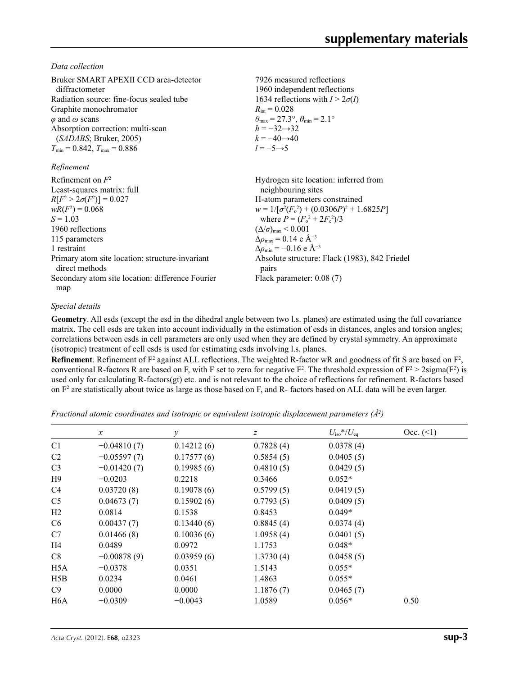*Data collection*

| Bruker SMART APEXII CCD area-detector<br>diffractometer<br>Radiation source: fine-focus sealed tube<br>Graphite monochromator<br>$\varphi$ and $\omega$ scans<br>Absorption correction: multi-scan<br>(SADABS; Bruker, 2005)<br>$T_{\min}$ = 0.842, $T_{\max}$ = 0.886<br>Refinement | 7926 measured reflections<br>1960 independent reflections<br>1634 reflections with $I > 2\sigma(I)$<br>$R_{\rm int} = 0.028$<br>$\theta_{\text{max}} = 27.3^{\circ}, \theta_{\text{min}} = 2.1^{\circ}$<br>$h = -32 \rightarrow 32$<br>$k = -40 \rightarrow 40$<br>$l = -5 \rightarrow 5$ |
|--------------------------------------------------------------------------------------------------------------------------------------------------------------------------------------------------------------------------------------------------------------------------------------|-------------------------------------------------------------------------------------------------------------------------------------------------------------------------------------------------------------------------------------------------------------------------------------------|
| Refinement on $F^2$                                                                                                                                                                                                                                                                  |                                                                                                                                                                                                                                                                                           |
| Least-squares matrix: full                                                                                                                                                                                                                                                           | Hydrogen site location: inferred from<br>neighbouring sites                                                                                                                                                                                                                               |
| $R[F^2 > 2\sigma(F^2)] = 0.027$                                                                                                                                                                                                                                                      | H-atom parameters constrained                                                                                                                                                                                                                                                             |
| $wR(F^2) = 0.068$                                                                                                                                                                                                                                                                    | $w = 1/[\sigma^2(F_0^2) + (0.0306P)^2 + 1.6825P]$                                                                                                                                                                                                                                         |
| $S = 1.03$                                                                                                                                                                                                                                                                           | where $P = (F_0^2 + 2F_c^2)/3$                                                                                                                                                                                                                                                            |
| 1960 reflections                                                                                                                                                                                                                                                                     | $(\Delta/\sigma)_{\text{max}}$ < 0.001                                                                                                                                                                                                                                                    |
| 115 parameters                                                                                                                                                                                                                                                                       | $\Delta\rho_{\text{max}} = 0.14$ e Å <sup>-3</sup>                                                                                                                                                                                                                                        |
| 1 restraint                                                                                                                                                                                                                                                                          | $\Delta \rho_{\rm min} = -0.16 \text{ e } \text{\AA}^{-3}$                                                                                                                                                                                                                                |
| Primary atom site location: structure-invariant<br>direct methods                                                                                                                                                                                                                    | Absolute structure: Flack (1983), 842 Friedel<br>pairs                                                                                                                                                                                                                                    |
| Secondary atom site location: difference Fourier<br>map                                                                                                                                                                                                                              | Flack parameter: $0.08(7)$                                                                                                                                                                                                                                                                |

#### *Special details*

**Geometry**. All esds (except the esd in the dihedral angle between two l.s. planes) are estimated using the full covariance matrix. The cell esds are taken into account individually in the estimation of esds in distances, angles and torsion angles; correlations between esds in cell parameters are only used when they are defined by crystal symmetry. An approximate (isotropic) treatment of cell esds is used for estimating esds involving l.s. planes.

**Refinement**. Refinement of  $F^2$  against ALL reflections. The weighted R-factor wR and goodness of fit S are based on  $F^2$ , conventional R-factors R are based on F, with F set to zero for negative  $F^2$ . The threshold expression of  $F^2 > 2 \text{sigma}(F^2)$  is used only for calculating R-factors(gt) etc. and is not relevant to the choice of reflections for refinement. R-factors based on  $F<sup>2</sup>$  are statistically about twice as large as those based on F, and R- factors based on ALL data will be even larger.

*Fractional atomic coordinates and isotropic or equivalent isotropic displacement parameters (Å2 )*

|                  | $\mathcal{X}$ | $\mathcal{Y}$ | Ζ         | $U_{\rm iso}*/U_{\rm eq}$ | Occ. (2) |
|------------------|---------------|---------------|-----------|---------------------------|----------|
| C <sub>1</sub>   | $-0.04810(7)$ | 0.14212(6)    | 0.7828(4) | 0.0378(4)                 |          |
| C <sub>2</sub>   | $-0.05597(7)$ | 0.17577(6)    | 0.5854(5) | 0.0405(5)                 |          |
| C <sub>3</sub>   | $-0.01420(7)$ | 0.19985(6)    | 0.4810(5) | 0.0429(5)                 |          |
| H9               | $-0.0203$     | 0.2218        | 0.3466    | $0.052*$                  |          |
| C <sub>4</sub>   | 0.03720(8)    | 0.19078(6)    | 0.5799(5) | 0.0419(5)                 |          |
| C <sub>5</sub>   | 0.04673(7)    | 0.15902(6)    | 0.7793(5) | 0.0409(5)                 |          |
| H2               | 0.0814        | 0.1538        | 0.8453    | $0.049*$                  |          |
| C <sub>6</sub>   | 0.00437(7)    | 0.13440(6)    | 0.8845(4) | 0.0374(4)                 |          |
| C7               | 0.01466(8)    | 0.10036(6)    | 1.0958(4) | 0.0401(5)                 |          |
| H4               | 0.0489        | 0.0972        | 1.1753    | $0.048*$                  |          |
| C8               | $-0.00878(9)$ | 0.03959(6)    | 1.3730(4) | 0.0458(5)                 |          |
| H <sub>5</sub> A | $-0.0378$     | 0.0351        | 1.5143    | $0.055*$                  |          |
| H5B              | 0.0234        | 0.0461        | 1.4863    | $0.055*$                  |          |
| C9               | 0.0000        | 0.0000        | 1.1876(7) | 0.0465(7)                 |          |
| H <sub>6</sub> A | $-0.0309$     | $-0.0043$     | 1.0589    | $0.056*$                  | 0.50     |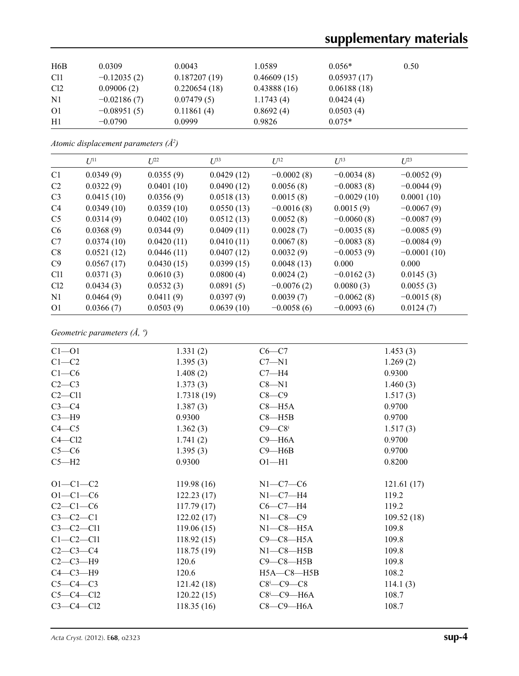# **supplementary materials**

| H6B             | 0.0309        | 0.0043       | 1.0589      | $0.056*$    | 0.50 |
|-----------------|---------------|--------------|-------------|-------------|------|
| C <sub>11</sub> | $-0.12035(2)$ | 0.187207(19) | 0.46609(15) | 0.05937(17) |      |
| Cl <sub>2</sub> | 0.09006(2)    | 0.220654(18) | 0.43888(16) | 0.06188(18) |      |
| N <sub>1</sub>  | $-0.02186(7)$ | 0.07479(5)   | 1.1743(4)   | 0.0424(4)   |      |
| O <sub>1</sub>  | $-0.08951(5)$ | 0.11861(4)   | 0.8692(4)   | 0.0503(4)   |      |
| H1              | $-0.0790$     | 0.0999       | 0.9826      | $0.075*$    |      |

*Atomic displacement parameters (Å2 )*

|                 | $U^{11}$   | $U^{22}$   | $U^{33}$   | $U^{12}$     | $U^{13}$      | $U^{23}$      |
|-----------------|------------|------------|------------|--------------|---------------|---------------|
| C <sub>1</sub>  | 0.0349(9)  | 0.0355(9)  | 0.0429(12) | $-0.0002(8)$ | $-0.0034(8)$  | $-0.0052(9)$  |
| C <sub>2</sub>  | 0.0322(9)  | 0.0401(10) | 0.0490(12) | 0.0056(8)    | $-0.0083(8)$  | $-0.0044(9)$  |
| C <sub>3</sub>  | 0.0415(10) | 0.0356(9)  | 0.0518(13) | 0.0015(8)    | $-0.0029(10)$ | 0.0001(10)    |
| C <sub>4</sub>  | 0.0349(10) | 0.0359(10) | 0.0550(13) | $-0.0016(8)$ | 0.0015(9)     | $-0.0067(9)$  |
| C <sub>5</sub>  | 0.0314(9)  | 0.0402(10) | 0.0512(13) | 0.0052(8)    | $-0.0060(8)$  | $-0.0087(9)$  |
| C <sub>6</sub>  | 0.0368(9)  | 0.0344(9)  | 0.0409(11) | 0.0028(7)    | $-0.0035(8)$  | $-0.0085(9)$  |
| C7              | 0.0374(10) | 0.0420(11) | 0.0410(11) | 0.0067(8)    | $-0.0083(8)$  | $-0.0084(9)$  |
| C8              | 0.0521(12) | 0.0446(11) | 0.0407(12) | 0.0032(9)    | $-0.0053(9)$  | $-0.0001(10)$ |
| C9              | 0.0567(17) | 0.0430(15) | 0.0399(15) | 0.0048(13)   | 0.000         | 0.000         |
| Cl <sub>1</sub> | 0.0371(3)  | 0.0610(3)  | 0.0800(4)  | 0.0024(2)    | $-0.0162(3)$  | 0.0145(3)     |
| Cl2             | 0.0434(3)  | 0.0532(3)  | 0.0891(5)  | $-0.0076(2)$ | 0.0080(3)     | 0.0055(3)     |
| N1              | 0.0464(9)  | 0.0411(9)  | 0.0397(9)  | 0.0039(7)    | $-0.0062(8)$  | $-0.0015(8)$  |
| O <sub>1</sub>  | 0.0366(7)  | 0.0503(9)  | 0.0639(10) | $-0.0058(6)$ | $-0.0093(6)$  | 0.0124(7)     |

## *Geometric parameters (Å, º)*

| $C1 - 01$      | 1.331(2)   | $C6-C7$                         | 1.453(3)   |
|----------------|------------|---------------------------------|------------|
| $C1-C2$        | 1.395(3)   | $C7 - N1$                       | 1.269(2)   |
| $C1-C6$        | 1.408(2)   | $C7 - H4$                       | 0.9300     |
| $C2-C3$        | 1.373(3)   | $C8 - N1$                       | 1.460(3)   |
| $C2 - C11$     | 1.7318(19) | $C8-C9$                         | 1.517(3)   |
| $C3-C4$        | 1.387(3)   | $C8 - H5A$                      | 0.9700     |
| $C3 - H9$      | 0.9300     | $C8 - H5B$                      | 0.9700     |
| $C4 - C5$      | 1.362(3)   | $C9 - C8$                       | 1.517(3)   |
| $C4 - C12$     | 1.741(2)   | $C9 - H6A$                      | 0.9700     |
| $C5-C6$        | 1.395(3)   | $C9 - H6B$                      | 0.9700     |
| $C5 - H2$      | 0.9300     | $O1 - H1$                       | 0.8200     |
|                |            |                                 |            |
| $O1 - C1 - C2$ | 119.98(16) | $N1-C7-C6$                      | 121.61(17) |
| $O1 - C1 - C6$ | 122.23(17) | $N1-C7-H4$                      | 119.2      |
| $C2-C1-C6$     | 117.79(17) | $C6-C7-H4$                      | 119.2      |
| $C3-C2-C1$     | 122.02(17) | $N1-C8-C9$                      | 109.52(18) |
| $C3-C2-C11$    | 119.06(15) | $N1-C8-H5A$                     | 109.8      |
| $C1-C2-C11$    | 118.92(15) | $C9-C8-H5A$                     | 109.8      |
| $C2-C3-C4$     | 118.75(19) | $N1-C8-H5B$                     | 109.8      |
| $C2-C3-H9$     | 120.6      | $C9-C8-H5B$                     | 109.8      |
| $C4-C3-H9$     | 120.6      | $H5A-C8-H5B$                    | 108.2      |
| $C5-C4-C3$     | 121.42(18) | $C8$ <sup>i</sup> - $C9$ - $C8$ | 114.1(3)   |
| $C5-C4-C12$    | 120.22(15) | $C8$ <sup>i</sup> - $C9$ -H6A   | 108.7      |
| $C3-C4-C12$    | 118.35(16) | $C8-C9-H6A$                     | 108.7      |
|                |            |                                 |            |